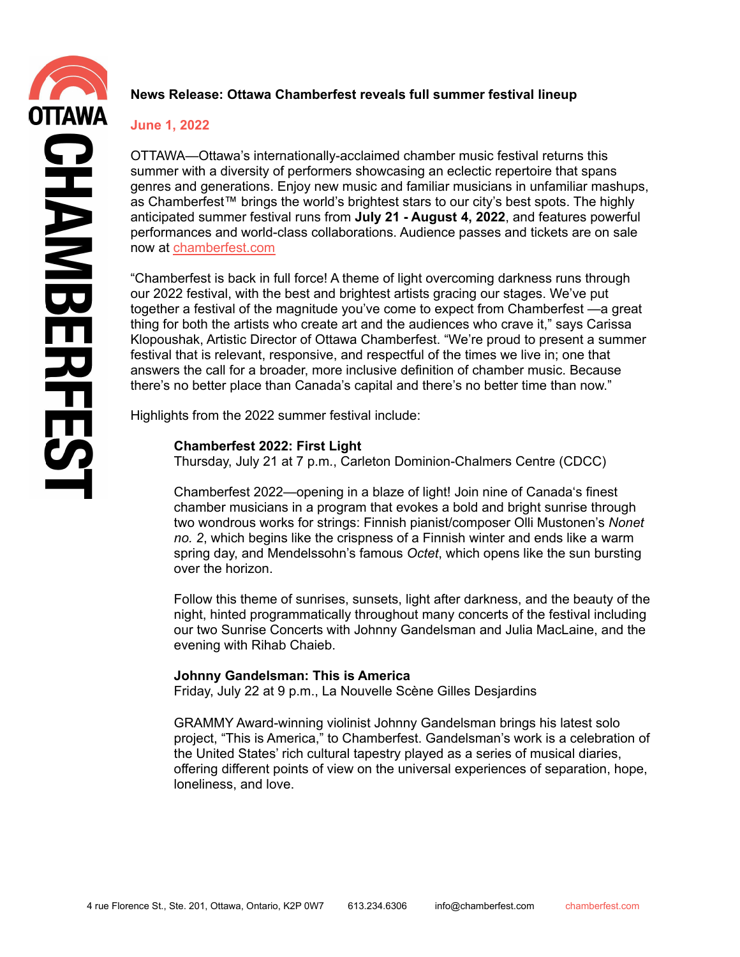# **News Release: Ottawa Chamberfest reveals full summer festival lineup**

## **June 1, 2022**

OTTAWA—Ottawa's internationally-acclaimed chamber music festival returns this summer with a diversity of performers showcasing an eclectic repertoire that spans genres and generations. Enjoy new music and familiar musicians in unfamiliar mashups, as Chamberfest™ brings the world's brightest stars to our city's best spots. The highly anticipated summer festival runs from **July 21 - August 4, 2022**, and features powerful performances and world-class collaborations. Audience passes and tickets are on sale now at [chamberfest.com](https://www.chamberfest.com/series/2022/festival-2022/)

"Chamberfest is back in full force! A theme of light overcoming darkness runs through our 2022 festival, with the best and brightest artists gracing our stages. We've put together a festival of the magnitude you've come to expect from Chamberfest —a great thing for both the artists who create art and the audiences who crave it," says Carissa Klopoushak, Artistic Director of Ottawa Chamberfest. "We're proud to present a summer festival that is relevant, responsive, and respectful of the times we live in; one that answers the call for a broader, more inclusive definition of chamber music. Because there's no better place than Canada's capital and there's no better time than now."

Highlights from the 2022 summer festival include:

## **Chamberfest 2022: First Light**

Thursday, July 21 at 7 p.m., Carleton Dominion-Chalmers Centre (CDCC)

Chamberfest 2022—opening in a blaze of light! Join nine of Canada's finest chamber musicians in a program that evokes a bold and bright sunrise through two wondrous works for strings: Finnish pianist/composer Olli Mustonen's *Nonet no. 2*, which begins like the crispness of a Finnish winter and ends like a warm spring day, and Mendelssohn's famous *Octet*, which opens like the sun bursting over the horizon.

Follow this theme of sunrises, sunsets, light after darkness, and the beauty of the night, hinted programmatically throughout many concerts of the festival including our two Sunrise Concerts with Johnny Gandelsman and Julia MacLaine, and the evening with Rihab Chaieb.

## **Johnny Gandelsman: This is America**

Friday, July 22 at 9 p.m., La Nouvelle Scène Gilles Desjardins

GRAMMY Award-winning violinist Johnny Gandelsman brings his latest solo project, "This is America," to Chamberfest. Gandelsman's work is a celebration of the United States' rich cultural tapestry played as a series of musical diaries, offering different points of view on the universal experiences of separation, hope, loneliness, and love.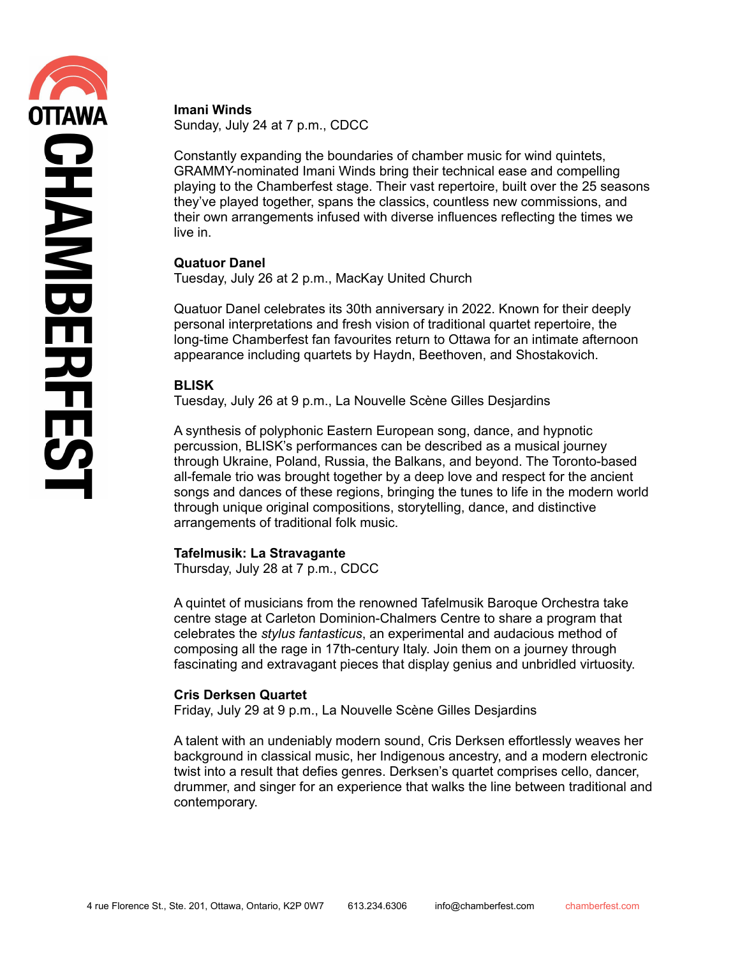#### **Imani Winds**

Sunday, July 24 at 7 p.m., CDCC

Constantly expanding the boundaries of chamber music for wind quintets, GRAMMY-nominated Imani Winds bring their technical ease and compelling playing to the Chamberfest stage. Their vast repertoire, built over the 25 seasons they've played together, spans the classics, countless new commissions, and their own arrangements infused with diverse influences reflecting the times we live in.

### **Quatuor Danel**

Tuesday, July 26 at 2 p.m., MacKay United Church

Quatuor Danel celebrates its 30th anniversary in 2022. Known for their deeply personal interpretations and fresh vision of traditional quartet repertoire, the long-time Chamberfest fan favourites return to Ottawa for an intimate afternoon appearance including quartets by Haydn, Beethoven, and Shostakovich.

## **BLISK**

Tuesday, July 26 at 9 p.m., La Nouvelle Scène Gilles Desjardins

A synthesis of polyphonic Eastern European song, dance, and hypnotic percussion, BLISK's performances can be described as a musical journey through Ukraine, Poland, Russia, the Balkans, and beyond. The Toronto-based all-female trio was brought together by a deep love and respect for the ancient songs and dances of these regions, bringing the tunes to life in the modern world through unique original compositions, storytelling, dance, and distinctive arrangements of traditional folk music.

#### **Tafelmusik: La Stravagante**

Thursday, July 28 at 7 p.m., CDCC

A quintet of musicians from the renowned Tafelmusik Baroque Orchestra take centre stage at Carleton Dominion-Chalmers Centre to share a program that celebrates the *stylus fantasticus*, an experimental and audacious method of composing all the rage in 17th-century Italy. Join them on a journey through fascinating and extravagant pieces that display genius and unbridled virtuosity.

#### **Cris Derksen Quartet**

Friday, July 29 at 9 p.m., La Nouvelle Scène Gilles Desjardins

A talent with an undeniably modern sound, Cris Derksen effortlessly weaves her background in classical music, her Indigenous ancestry, and a modern electronic twist into a result that defies genres. Derksen's quartet comprises cello, dancer, drummer, and singer for an experience that walks the line between traditional and contemporary.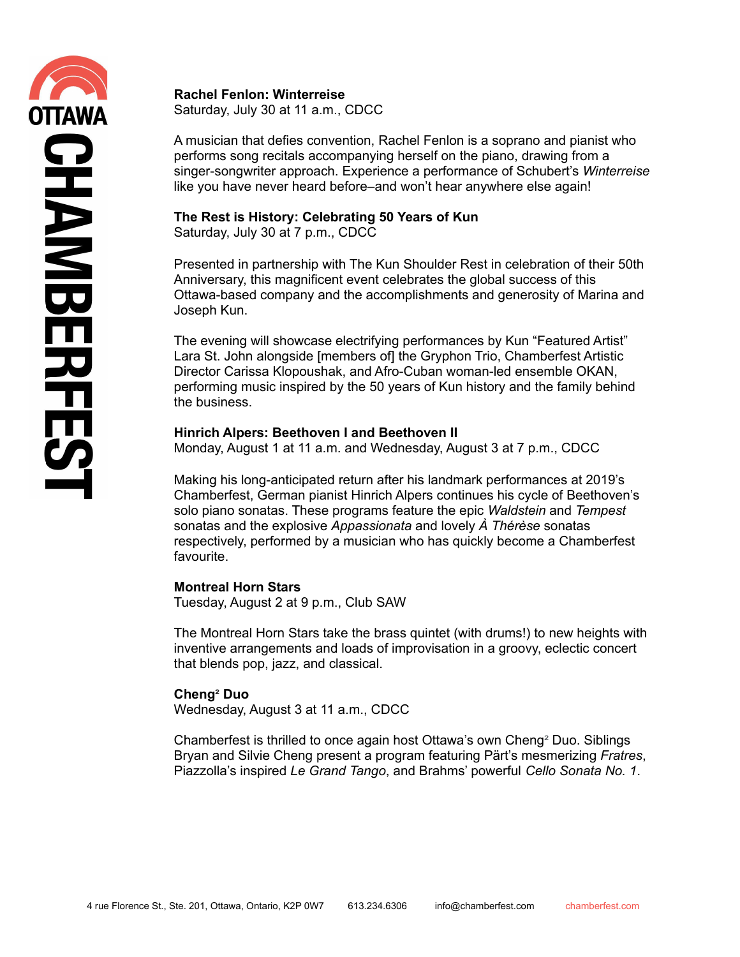**Rachel Fenlon: Winterreise** Saturday, July 30 at 11 a.m., CDCC

A musician that defies convention, Rachel Fenlon is a soprano and pianist who performs song recitals accompanying herself on the piano, drawing from a singer-songwriter approach. Experience a performance of Schubert's *Winterreise* like you have never heard before–and won't hear anywhere else again!

# **The Rest is History: Celebrating 50 Years of Kun**

Saturday, July 30 at 7 p.m., CDCC

Presented in partnership with The Kun Shoulder Rest in celebration of their 50th Anniversary, this magnificent event celebrates the global success of this Ottawa-based company and the accomplishments and generosity of Marina and Joseph Kun.

The evening will showcase electrifying performances by Kun "Featured Artist" Lara St. John alongside [members of] the Gryphon Trio, Chamberfest Artistic Director Carissa Klopoushak, and Afro-Cuban woman-led ensemble OKAN, performing music inspired by the 50 years of Kun history and the family behind the business.

## **Hinrich Alpers: Beethoven I and Beethoven II**

Monday, August 1 at 11 a.m. and Wednesday, August 3 at 7 p.m., CDCC

Making his long-anticipated return after his landmark performances at 2019's Chamberfest, German pianist Hinrich Alpers continues his cycle of Beethoven's solo piano sonatas. These programs feature the epic *Waldstein* and *Tempest* sonatas and the explosive *Appassionata* and lovely *À Thérèse* sonatas respectively, performed by a musician who has quickly become a Chamberfest favourite.

## **Montreal Horn Stars**

Tuesday, August 2 at 9 p.m., Club SAW

The Montreal Horn Stars take the brass quintet (with drums!) to new heights with inventive arrangements and loads of improvisation in a groovy, eclectic concert that blends pop, jazz, and classical.

## **Cheng² Duo**

Wednesday, August 3 at 11 a.m., CDCC

Chamberfest is thrilled to once again host Ottawa's own Cheng² Duo. Siblings Bryan and Silvie Cheng present a program featuring Pärt's mesmerizing *Fratres*, Piazzolla's inspired *Le Grand Tango*, and Brahms' powerful *Cello Sonata No. 1*.